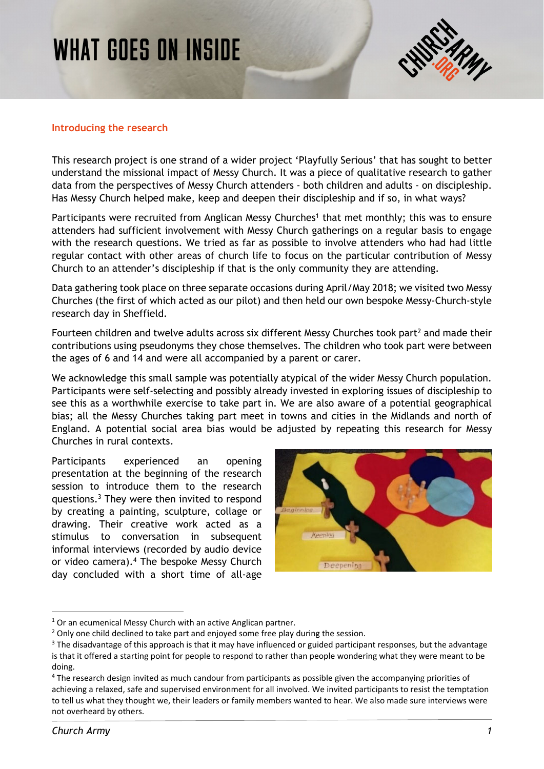# **WHAT GOES ON INSIDE**



#### **Introducing the research**

This research project is one strand of a wider project 'Playfully Serious' that has sought to better understand the missional impact of Messy Church. It was a piece of qualitative research to gather data from the perspectives of Messy Church attenders - both children and adults - on discipleship. Has Messy Church helped make, keep and deepen their discipleship and if so, in what ways?

Participants were recruited from Anglican Messy Churches<sup>1</sup> that met monthly; this was to ensure attenders had sufficient involvement with Messy Church gatherings on a regular basis to engage with the research questions. We tried as far as possible to involve attenders who had had little regular contact with other areas of church life to focus on the particular contribution of Messy Church to an attender's discipleship if that is the only community they are attending.

Data gathering took place on three separate occasions during April/May 2018; we visited two Messy Churches (the first of which acted as our pilot) and then held our own bespoke Messy-Church-style research day in Sheffield.

Fourteen children and twelve adults across six different Messy Churches took part<sup>2</sup> and made their contributions using pseudonyms they chose themselves. The children who took part were between the ages of 6 and 14 and were all accompanied by a parent or carer.

We acknowledge this small sample was potentially atypical of the wider Messy Church population. Participants were self-selecting and possibly already invested in exploring issues of discipleship to see this as a worthwhile exercise to take part in. We are also aware of a potential geographical bias; all the Messy Churches taking part meet in towns and cities in the Midlands and north of England. A potential social area bias would be adjusted by repeating this research for Messy Churches in rural contexts.

Participants experienced an opening presentation at the beginning of the research session to introduce them to the research questions.3 They were then invited to respond by creating a painting, sculpture, collage or drawing. Their creative work acted as a stimulus to conversation in subsequent informal interviews (recorded by audio device or video camera).4 The bespoke Messy Church day concluded with a short time of all-age



 $1$  Or an ecumenical Messy Church with an active Anglican partner.

<sup>&</sup>lt;sup>2</sup> Only one child declined to take part and enjoyed some free play during the session.

 $3$  The disadvantage of this approach is that it may have influenced or guided participant responses, but the advantage is that it offered a starting point for people to respond to rather than people wondering what they were meant to be doing.

<sup>&</sup>lt;sup>4</sup> The research design invited as much candour from participants as possible given the accompanying priorities of achieving a relaxed, safe and supervised environment for all involved. We invited participants to resist the temptation to tell us what they thought we, their leaders or family members wanted to hear. We also made sure interviews were not overheard by others.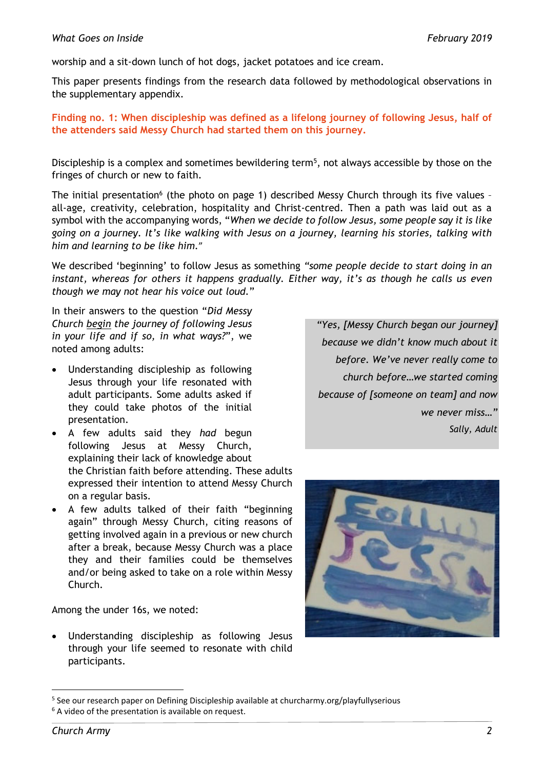worship and a sit-down lunch of hot dogs, jacket potatoes and ice cream.

This paper presents findings from the research data followed by methodological observations in the supplementary appendix.

**Finding no. 1: When discipleship was defined as a lifelong journey of following Jesus, half of the attenders said Messy Church had started them on this journey.** 

Discipleship is a complex and sometimes bewildering term<sup>5</sup>, not always accessible by those on the fringes of church or new to faith.

The initial presentation<sup>6</sup> (the photo on page 1) described Messy Church through its five values all-age, creativity, celebration, hospitality and Christ-centred. Then a path was laid out as a symbol with the accompanying words, "*When we decide to follow Jesus, some people say it is like going on a journey. It's like walking with Jesus on a journey, learning his stories, talking with him and learning to be like him.*"

We described 'beginning' to follow Jesus as something *"some people decide to start doing in an*  instant, whereas for others it happens gradually. Either way, it's as though he calls us even *though we may not hear his voice out loud.*"

In their answers to the question "*Did Messy Church begin the journey of following Jesus in your life and if so, in what ways?*", we noted among adults:

- Understanding discipleship as following Jesus through your life resonated with adult participants. Some adults asked if they could take photos of the initial presentation.
- A few adults said they *had* begun following Jesus at Messy Church, explaining their lack of knowledge about the Christian faith before attending. These adults expressed their intention to attend Messy Church on a regular basis.
- A few adults talked of their faith "beginning again" through Messy Church, citing reasons of getting involved again in a previous or new church after a break, because Messy Church was a place they and their families could be themselves and/or being asked to take on a role within Messy Church.

Among the under 16s, we noted:

 Understanding discipleship as following Jesus through your life seemed to resonate with child participants.

*"Yes, [Messy Church began our journey] because we didn't know much about it before. We've never really come to church before…we started coming because of [someone on team] and now we never miss…" Sally, Adult* 



 <sup>5</sup> See our research paper on Defining Discipleship available at churcharmy.org/playfullyserious

<sup>&</sup>lt;sup>6</sup> A video of the presentation is available on request.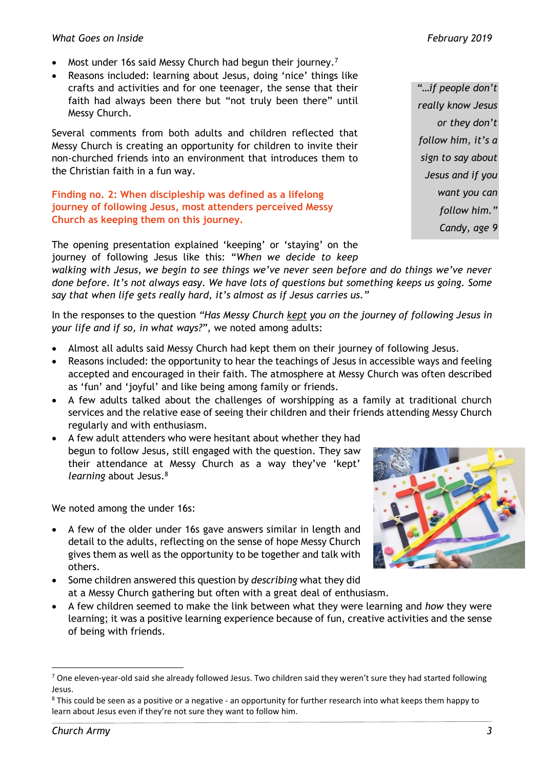- Most under 16s said Messy Church had begun their journey.<sup>7</sup>
- Reasons included: learning about Jesus, doing 'nice' things like crafts and activities and for one teenager, the sense that their faith had always been there but "not truly been there" until Messy Church.

Several comments from both adults and children reflected that Messy Church is creating an opportunity for children to invite their non-churched friends into an environment that introduces them to the Christian faith in a fun way.

**Finding no. 2: When discipleship was defined as a lifelong journey of following Jesus, most attenders perceived Messy Church as keeping them on this journey.**

The opening presentation explained 'keeping' or 'staying' on the journey of following Jesus like this: "*When we decide to keep* 

*walking with Jesus, we begin to see things we've never seen before and do things we've never done before. It's not always easy. We have lots of questions but something keeps us going. Some say that when life gets really hard, it's almost as if Jesus carries us."*

In the responses to the question *"Has Messy Church kept you on the journey of following Jesus in your life and if so, in what ways?"*, we noted among adults:

- Almost all adults said Messy Church had kept them on their journey of following Jesus.
- Reasons included: the opportunity to hear the teachings of Jesus in accessible ways and feeling accepted and encouraged in their faith. The atmosphere at Messy Church was often described as 'fun' and 'joyful' and like being among family or friends.
- A few adults talked about the challenges of worshipping as a family at traditional church services and the relative ease of seeing their children and their friends attending Messy Church regularly and with enthusiasm.
- A few adult attenders who were hesitant about whether they had begun to follow Jesus, still engaged with the question. They saw their attendance at Messy Church as a way they've 'kept' *learning* about Jesus.8

We noted among the under 16s:

- A few of the older under 16s gave answers similar in length and detail to the adults, reflecting on the sense of hope Messy Church gives them as well as the opportunity to be together and talk with others.
- Some children answered this question by *describing* what they did at a Messy Church gathering but often with a great deal of enthusiasm.
- A few children seemed to make the link between what they were learning and *how* they were learning; it was a positive learning experience because of fun, creative activities and the sense of being with friends.

*"…if people don't really know Jesus or they don't follow him, it's a sign to say about Jesus and if you want you can follow him." Candy, age 9* 



 $^7$  One eleven-year-old said she already followed Jesus. Two children said they weren't sure they had started following Jesus.

 $^8$  This could be seen as a positive or a negative - an opportunity for further research into what keeps them happy to learn about Jesus even if they're not sure they want to follow him.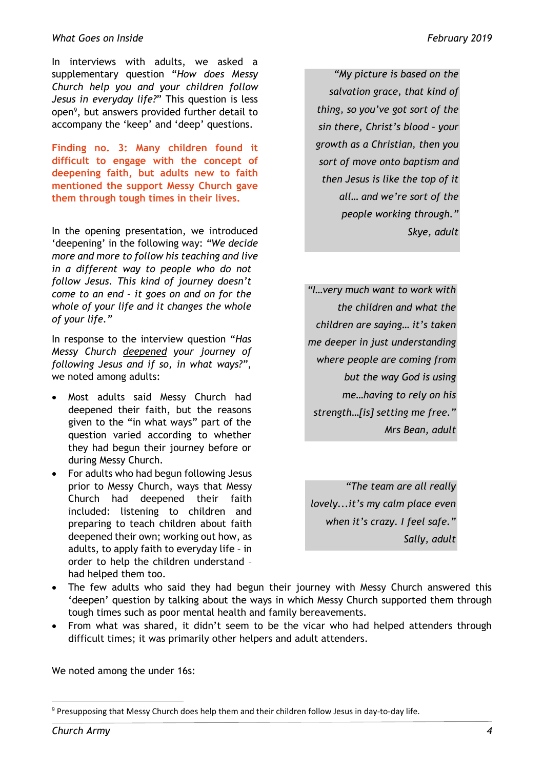#### *What Goes on Inside February 2019*

In interviews with adults, we asked a supplementary question "*How does Messy Church help you and your children follow Jesus in everyday life?*" This question is less open9, but answers provided further detail to accompany the 'keep' and 'deep' questions.

**Finding no. 3: Many children found it difficult to engage with the concept of deepening faith, but adults new to faith mentioned the support Messy Church gave them through tough times in their lives.** 

In the opening presentation, we introduced 'deepening' in the following way: *"We decide more and more to follow his teaching and live in a different way to people who do not follow Jesus. This kind of journey doesn't come to an end – it goes on and on for the whole of your life and it changes the whole of your life."*

In response to the interview question "*Has Messy Church deepened your journey of following Jesus and if so, in what ways?"*, we noted among adults:

- Most adults said Messy Church had deepened their faith, but the reasons given to the "in what ways" part of the question varied according to whether they had begun their journey before or during Messy Church.
- For adults who had begun following Jesus prior to Messy Church, ways that Messy Church had deepened their faith included: listening to children and preparing to teach children about faith deepened their own; working out how, as adults, to apply faith to everyday life – in order to help the children understand – had helped them too.

*"My picture is based on the salvation grace, that kind of thing, so you've got sort of the sin there, Christ's blood – your growth as a Christian, then you sort of move onto baptism and then Jesus is like the top of it all… and we're sort of the people working through." Skye, adult* 

*"I…very much want to work with the children and what the children are saying… it's taken me deeper in just understanding where people are coming from but the way God is using me…having to rely on his strength…[is] setting me free." Mrs Bean, adult* 

*"The team are all really lovely...it's my calm place even when it's crazy. I feel safe." Sally, adult* 

- The few adults who said they had begun their journey with Messy Church answered this 'deepen' question by talking about the ways in which Messy Church supported them through tough times such as poor mental health and family bereavements.
- From what was shared, it didn't seem to be the vicar who had helped attenders through difficult times; it was primarily other helpers and adult attenders.

We noted among the under 16s:

<sup>&</sup>lt;sup>9</sup> Presupposing that Messy Church does help them and their children follow Jesus in day-to-day life.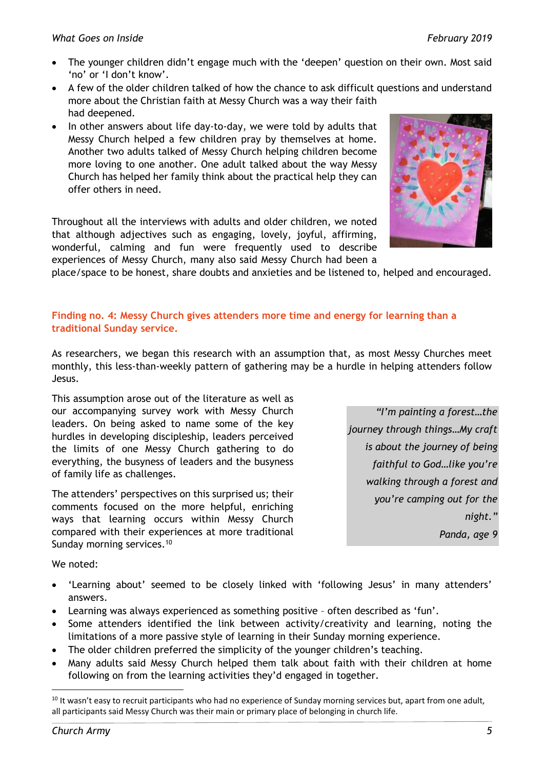- The younger children didn't engage much with the 'deepen' question on their own. Most said 'no' or 'I don't know'.
- A few of the older children talked of how the chance to ask difficult questions and understand more about the Christian faith at Messy Church was a way their faith had deepened.
- In other answers about life day-to-day, we were told by adults that Messy Church helped a few children pray by themselves at home. Another two adults talked of Messy Church helping children become more loving to one another. One adult talked about the way Messy Church has helped her family think about the practical help they can offer others in need.

Throughout all the interviews with adults and older children, we noted that although adjectives such as engaging, lovely, joyful, affirming, wonderful, calming and fun were frequently used to describe experiences of Messy Church, many also said Messy Church had been a



place/space to be honest, share doubts and anxieties and be listened to, helped and encouraged.

# **Finding no. 4: Messy Church gives attenders more time and energy for learning than a traditional Sunday service.**

As researchers, we began this research with an assumption that, as most Messy Churches meet monthly, this less-than-weekly pattern of gathering may be a hurdle in helping attenders follow Jesus.

This assumption arose out of the literature as well as our accompanying survey work with Messy Church leaders. On being asked to name some of the key hurdles in developing discipleship, leaders perceived the limits of one Messy Church gathering to do everything, the busyness of leaders and the busyness of family life as challenges.

The attenders' perspectives on this surprised us; their comments focused on the more helpful, enriching ways that learning occurs within Messy Church compared with their experiences at more traditional Sunday morning services.<sup>10</sup>

*"I'm painting a forest…the journey through things…My craft is about the journey of being faithful to God…like you're walking through a forest and you're camping out for the night." Panda, age 9* 

We noted:

- 'Learning about' seemed to be closely linked with 'following Jesus' in many attenders' answers.
- Learning was always experienced as something positive often described as 'fun'.
- Some attenders identified the link between activity/creativity and learning, noting the limitations of a more passive style of learning in their Sunday morning experience.
- The older children preferred the simplicity of the younger children's teaching.
- Many adults said Messy Church helped them talk about faith with their children at home following on from the learning activities they'd engaged in together.

  $10$  It wasn't easy to recruit participants who had no experience of Sunday morning services but, apart from one adult, all participants said Messy Church was their main or primary place of belonging in church life.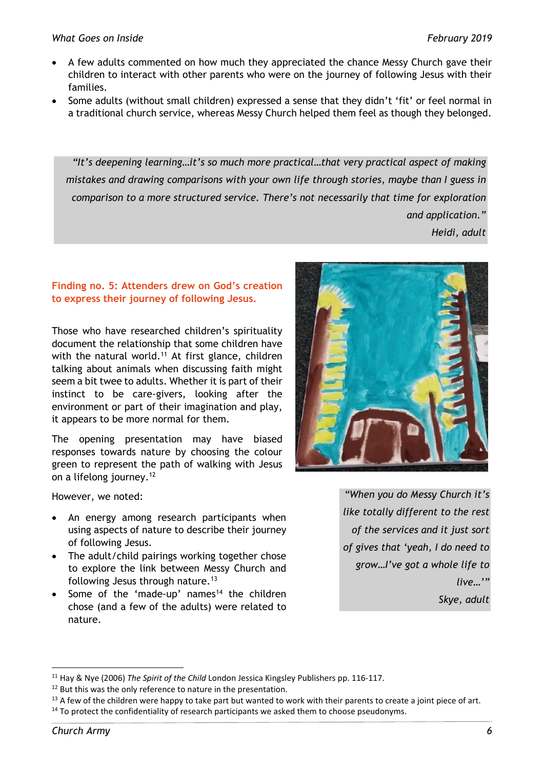- A few adults commented on how much they appreciated the chance Messy Church gave their children to interact with other parents who were on the journey of following Jesus with their families.
- Some adults (without small children) expressed a sense that they didn't 'fit' or feel normal in a traditional church service, whereas Messy Church helped them feel as though they belonged.

*"It's deepening learning…it's so much more practical…that very practical aspect of making mistakes and drawing comparisons with your own life through stories, maybe than I guess in comparison to a more structured service. There's not necessarily that time for exploration and application." Heidi, adult* 

**Finding no. 5: Attenders drew on God's creation to express their journey of following Jesus.** 

Those who have researched children's spirituality document the relationship that some children have with the natural world.<sup>11</sup> At first glance, children talking about animals when discussing faith might seem a bit twee to adults. Whether it is part of their instinct to be care-givers, looking after the environment or part of their imagination and play, it appears to be more normal for them.

The opening presentation may have biased responses towards nature by choosing the colour green to represent the path of walking with Jesus on a lifelong journey.12

However, we noted:

- An energy among research participants when using aspects of nature to describe their journey of following Jesus.
- The adult/child pairings working together chose to explore the link between Messy Church and following Jesus through nature.13
- Some of the 'made-up' names<sup>14</sup> the children chose (and a few of the adults) were related to nature.



*"When you do Messy Church it's like totally different to the rest of the services and it just sort of gives that 'yeah, I do need to grow…I've got a whole life to live…'" Skye, adult* 

<sup>11</sup> Hay & Nye (2006) *The Spirit of the Child* London Jessica Kingsley Publishers pp. 116‐117.

<sup>&</sup>lt;sup>12</sup> But this was the only reference to nature in the presentation.

 $13$  A few of the children were happy to take part but wanted to work with their parents to create a joint piece of art.  $14$  To protect the confidentiality of research participants we asked them to choose pseudonyms.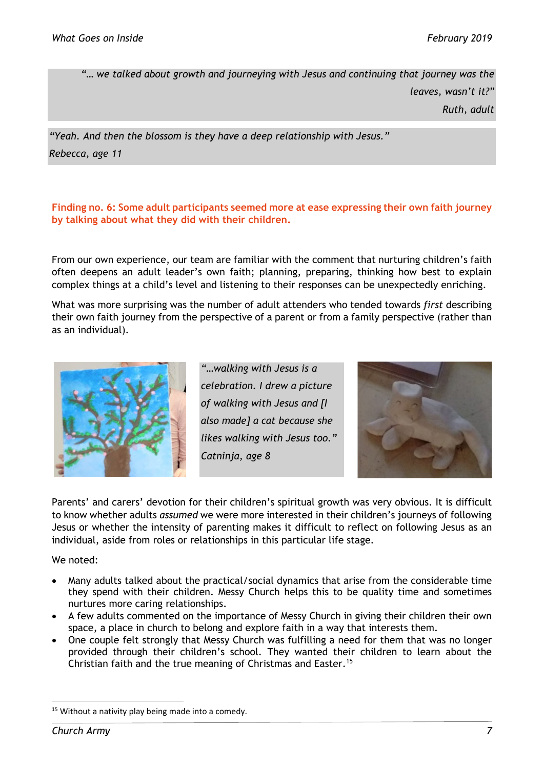*"… we talked about growth and journeying with Jesus and continuing that journey was the leaves, wasn't it?" Ruth, adult* 

*"Yeah. And then the blossom is they have a deep relationship with Jesus." Rebecca, age 11* 

## **Finding no. 6: Some adult participants seemed more at ease expressing their own faith journey by talking about what they did with their children.**

From our own experience, our team are familiar with the comment that nurturing children's faith often deepens an adult leader's own faith; planning, preparing, thinking how best to explain complex things at a child's level and listening to their responses can be unexpectedly enriching.

What was more surprising was the number of adult attenders who tended towards *first* describing their own faith journey from the perspective of a parent or from a family perspective (rather than as an individual).



*"…walking with Jesus is a celebration. I drew a picture of walking with Jesus and [I also made] a cat because she likes walking with Jesus too." Catninja, age 8* 



Parents' and carers' devotion for their children's spiritual growth was very obvious. It is difficult to know whether adults *assumed* we were more interested in their children's journeys of following Jesus or whether the intensity of parenting makes it difficult to reflect on following Jesus as an individual, aside from roles or relationships in this particular life stage.

We noted:

- Many adults talked about the practical/social dynamics that arise from the considerable time they spend with their children. Messy Church helps this to be quality time and sometimes nurtures more caring relationships.
- A few adults commented on the importance of Messy Church in giving their children their own space, a place in church to belong and explore faith in a way that interests them.
- One couple felt strongly that Messy Church was fulfilling a need for them that was no longer provided through their children's school. They wanted their children to learn about the Christian faith and the true meaning of Christmas and Easter.15

<sup>&</sup>lt;sup>15</sup> Without a nativity play being made into a comedy.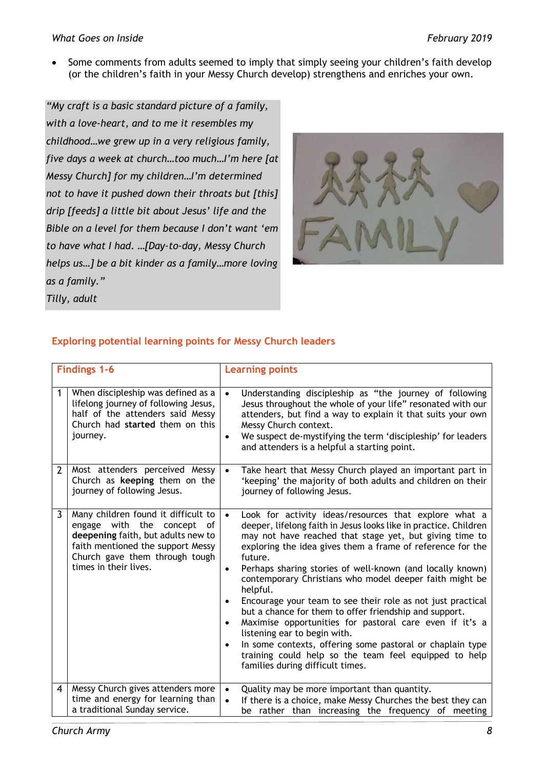• Some comments from adults seemed to imply that simply seeing your children's faith develop (or the children's faith in your Messy Church develop) strengthens and enriches your own.

*"My craft is a basic standard picture of a family, with a love-heart, and to me it resembles my childhood…we grew up in a very religious family, five days a week at church…too much…I'm here [at Messy Church] for my children…I'm determined not to have it pushed down their throats but [this] drip [feeds] a little bit about Jesus' life and the Bible on a level for them because I don't want 'em to have what I had. …[Day-to-day, Messy Church helps us…] be a bit kinder as a family…more loving as a family." Tilly, adult* 



# **Exploring potential learning points for Messy Church leaders**

| <b>Findings 1-6</b> |                                                                                                                                                                                                               | <b>Learning points</b>                                                                                                                                                                                                                                                                                                                                                                                                                                                                                                                                                                                                                                                                                                                                                                                                                           |  |  |
|---------------------|---------------------------------------------------------------------------------------------------------------------------------------------------------------------------------------------------------------|--------------------------------------------------------------------------------------------------------------------------------------------------------------------------------------------------------------------------------------------------------------------------------------------------------------------------------------------------------------------------------------------------------------------------------------------------------------------------------------------------------------------------------------------------------------------------------------------------------------------------------------------------------------------------------------------------------------------------------------------------------------------------------------------------------------------------------------------------|--|--|
| 1                   | When discipleship was defined as a<br>lifelong journey of following Jesus,<br>half of the attenders said Messy<br>Church had started them on this<br>journey.                                                 | Understanding discipleship as "the journey of following<br>$\bullet$<br>Jesus throughout the whole of your life" resonated with our<br>attenders, but find a way to explain it that suits your own<br>Messy Church context.<br>We suspect de-mystifying the term 'discipleship' for leaders<br>$\bullet$<br>and attenders is a helpful a starting point.                                                                                                                                                                                                                                                                                                                                                                                                                                                                                         |  |  |
| $\overline{2}$      | Most attenders perceived Messy<br>Church as keeping them on the<br>journey of following Jesus.                                                                                                                | Take heart that Messy Church played an important part in<br>$\bullet$<br>'keeping' the majority of both adults and children on their<br>journey of following Jesus.                                                                                                                                                                                                                                                                                                                                                                                                                                                                                                                                                                                                                                                                              |  |  |
| 3                   | Many children found it difficult to<br>engage with the<br>concept<br>οf<br>deepening faith, but adults new to<br>faith mentioned the support Messy<br>Church gave them through tough<br>times in their lives. | Look for activity ideas/resources that explore what a<br>$\bullet$<br>deeper, lifelong faith in Jesus looks like in practice. Children<br>may not have reached that stage yet, but giving time to<br>exploring the idea gives them a frame of reference for the<br>future.<br>Perhaps sharing stories of well-known (and locally known)<br>$\bullet$<br>contemporary Christians who model deeper faith might be<br>helpful.<br>Encourage your team to see their role as not just practical<br>$\bullet$<br>but a chance for them to offer friendship and support.<br>Maximise opportunities for pastoral care even if it's a<br>$\bullet$<br>listening ear to begin with.<br>In some contexts, offering some pastoral or chaplain type<br>$\bullet$<br>training could help so the team feel equipped to help<br>families during difficult times. |  |  |
| 4                   | Messy Church gives attenders more<br>time and energy for learning than<br>a traditional Sunday service.                                                                                                       | Quality may be more important than quantity.<br>$\bullet$<br>If there is a choice, make Messy Churches the best they can<br>$\bullet$<br>be rather than increasing the frequency of meeting                                                                                                                                                                                                                                                                                                                                                                                                                                                                                                                                                                                                                                                      |  |  |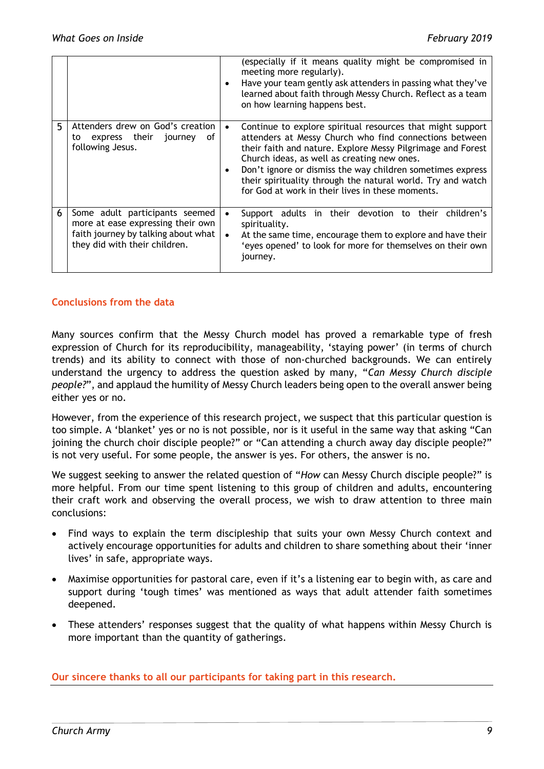|    |                                                                                                                                             | (especially if it means quality might be compromised in<br>meeting more regularly).<br>Have your team gently ask attenders in passing what they've<br>learned about faith through Messy Church. Reflect as a team<br>on how learning happens best.                                                                                                                                                                  |
|----|---------------------------------------------------------------------------------------------------------------------------------------------|---------------------------------------------------------------------------------------------------------------------------------------------------------------------------------------------------------------------------------------------------------------------------------------------------------------------------------------------------------------------------------------------------------------------|
| 5. | Attenders drew on God's creation<br>express their journey<br>0f<br>to<br>following Jesus.                                                   | Continue to explore spiritual resources that might support<br>attenders at Messy Church who find connections between<br>their faith and nature. Explore Messy Pilgrimage and Forest<br>Church ideas, as well as creating new ones.<br>Don't ignore or dismiss the way children sometimes express<br>their spirituality through the natural world. Try and watch<br>for God at work in their lives in these moments. |
| 6  | Some adult participants seemed<br>more at ease expressing their own<br>faith journey by talking about what<br>they did with their children. | Support adults in their devotion to their children's<br>spirituality.<br>At the same time, encourage them to explore and have their<br>'eyes opened' to look for more for themselves on their own<br>journey.                                                                                                                                                                                                       |

#### **Conclusions from the data**

Many sources confirm that the Messy Church model has proved a remarkable type of fresh expression of Church for its reproducibility, manageability, 'staying power' (in terms of church trends) and its ability to connect with those of non-churched backgrounds. We can entirely understand the urgency to address the question asked by many, "*Can Messy Church disciple people?*", and applaud the humility of Messy Church leaders being open to the overall answer being either yes or no.

However, from the experience of this research project, we suspect that this particular question is too simple. A 'blanket' yes or no is not possible, nor is it useful in the same way that asking "Can joining the church choir disciple people?" or "Can attending a church away day disciple people?" is not very useful. For some people, the answer is yes. For others, the answer is no.

We suggest seeking to answer the related question of "*How* can Messy Church disciple people?" is more helpful. From our time spent listening to this group of children and adults, encountering their craft work and observing the overall process, we wish to draw attention to three main conclusions:

- Find ways to explain the term discipleship that suits your own Messy Church context and actively encourage opportunities for adults and children to share something about their 'inner lives' in safe, appropriate ways.
- Maximise opportunities for pastoral care, even if it's a listening ear to begin with, as care and support during 'tough times' was mentioned as ways that adult attender faith sometimes deepened.
- These attenders' responses suggest that the quality of what happens within Messy Church is more important than the quantity of gatherings.

**Our sincere thanks to all our participants for taking part in this research.**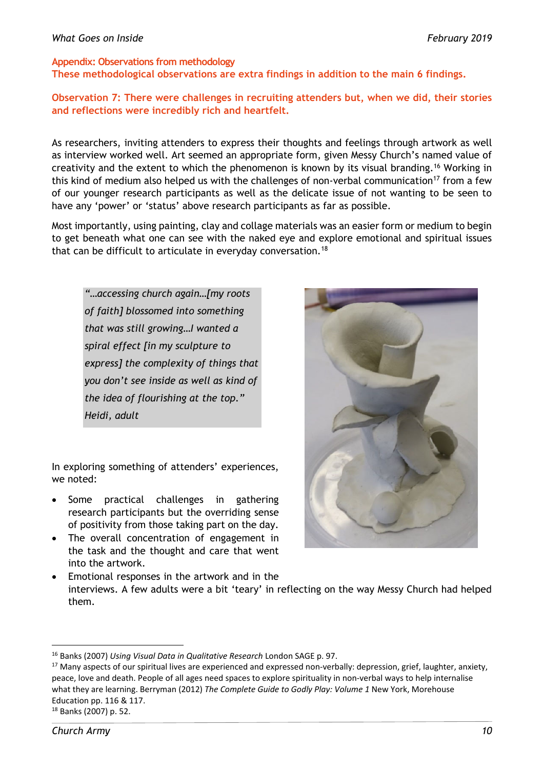## **Appendix: Observations from methodology**

**These methodological observations are extra findings in addition to the main 6 findings.** 

## **Observation 7: There were challenges in recruiting attenders but, when we did, their stories and reflections were incredibly rich and heartfelt.**

As researchers, inviting attenders to express their thoughts and feelings through artwork as well as interview worked well. Art seemed an appropriate form, given Messy Church's named value of creativity and the extent to which the phenomenon is known by its visual branding.16 Working in this kind of medium also helped us with the challenges of non-verbal communication<sup>17</sup> from a few of our younger research participants as well as the delicate issue of not wanting to be seen to have any 'power' or 'status' above research participants as far as possible.

Most importantly, using painting, clay and collage materials was an easier form or medium to begin to get beneath what one can see with the naked eye and explore emotional and spiritual issues that can be difficult to articulate in everyday conversation.18

*"…accessing church again…[my roots of faith] blossomed into something that was still growing…I wanted a spiral effect [in my sculpture to express] the complexity of things that you don't see inside as well as kind of the idea of flourishing at the top." Heidi, adult* 

In exploring something of attenders' experiences, we noted:

- Some practical challenges in gathering research participants but the overriding sense of positivity from those taking part on the day.
- The overall concentration of engagement in the task and the thought and care that went into the artwork.



 Emotional responses in the artwork and in the interviews. A few adults were a bit 'teary' in reflecting on the way Messy Church had helped them.

18 Banks (2007) p. 52.

 16 Banks (2007) *Using Visual Data in Qualitative Research* London SAGE p. 97.

 $17$  Many aspects of our spiritual lives are experienced and expressed non-verbally: depression, grief, laughter, anxiety, peace, love and death. People of all ages need spaces to explore spirituality in non-verbal ways to help internalise what they are learning. Berryman (2012) *The Complete Guide to Godly Play: Volume 1* New York, Morehouse Education pp. 116 & 117.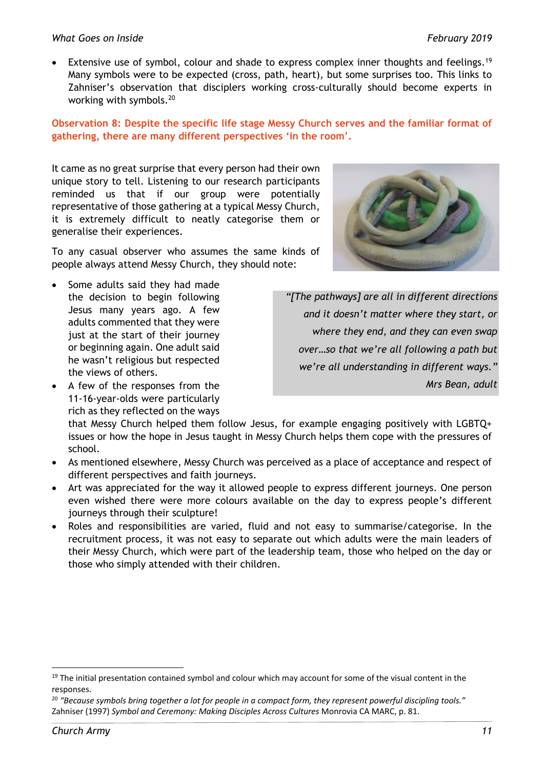#### *What Goes on Inside February 2019*

Extensive use of symbol, colour and shade to express complex inner thoughts and feelings.<sup>19</sup> Many symbols were to be expected (cross, path, heart), but some surprises too. This links to Zahniser's observation that disciplers working cross-culturally should become experts in working with symbols.20

## **Observation 8: Despite the specific life stage Messy Church serves and the familiar format of gathering, there are many different perspectives 'in the room'.**

It came as no great surprise that every person had their own unique story to tell. Listening to our research participants reminded us that if our group were potentially representative of those gathering at a typical Messy Church, it is extremely difficult to neatly categorise them or generalise their experiences.

To any casual observer who assumes the same kinds of people always attend Messy Church, they should note:

- Some adults said they had made the decision to begin following Jesus many years ago. A few adults commented that they were just at the start of their journey or beginning again. One adult said he wasn't religious but respected the views of others.
- A few of the responses from the 11-16-year-olds were particularly rich as they reflected on the ways

*"[The pathways] are all in different directions and it doesn't matter where they start, or where they end, and they can even swap over…so that we're all following a path but we're all understanding in different ways." Mrs Bean, adult* 

that Messy Church helped them follow Jesus, for example engaging positively with LGBTQ+ issues or how the hope in Jesus taught in Messy Church helps them cope with the pressures of school.

- As mentioned elsewhere, Messy Church was perceived as a place of acceptance and respect of different perspectives and faith journeys.
- Art was appreciated for the way it allowed people to express different journeys. One person even wished there were more colours available on the day to express people's different journeys through their sculpture!
- Roles and responsibilities are varied, fluid and not easy to summarise/categorise. In the recruitment process, it was not easy to separate out which adults were the main leaders of their Messy Church, which were part of the leadership team, those who helped on the day or those who simply attended with their children.

<sup>&</sup>lt;sup>19</sup> The initial presentation contained symbol and colour which may account for some of the visual content in the responses.

<sup>20</sup> *"Because symbols bring together a lot for people in a compact form, they represent powerful discipling tools."* Zahniser (1997) *Symbol and Ceremony: Making Disciples Across Cultures* Monrovia CA MARC, p. 81.